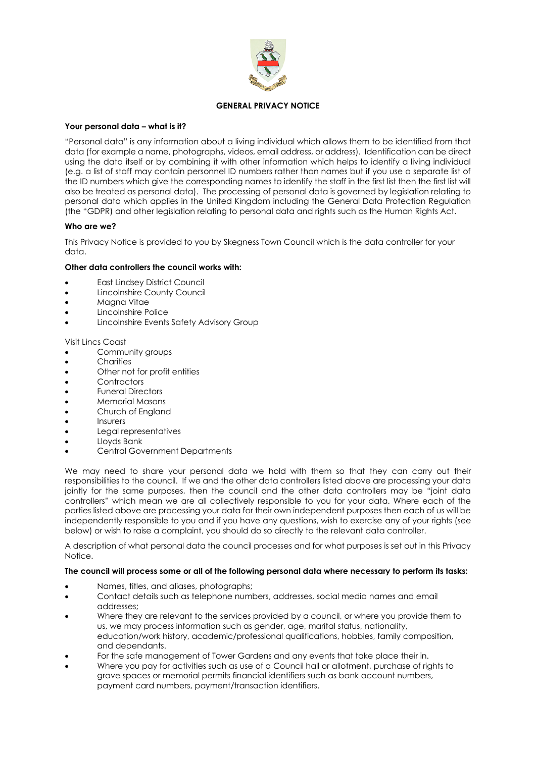

## **GENERAL PRIVACY NOTICE**

## **Your personal data – what is it?**

"Personal data" is any information about a living individual which allows them to be identified from that data (for example a name, photographs, videos, email address, or address). Identification can be direct using the data itself or by combining it with other information which helps to identify a living individual (e.g. a list of staff may contain personnel ID numbers rather than names but if you use a separate list of the ID numbers which give the corresponding names to identify the staff in the first list then the first list will also be treated as personal data). The processing of personal data is governed by legislation relating to personal data which applies in the United Kingdom including the General Data Protection Regulation (the "GDPR) and other legislation relating to personal data and rights such as the Human Rights Act.

# **Who are we?**

This Privacy Notice is provided to you by Skegness Town Council which is the data controller for your data.

## **Other data controllers the council works with:**

- East Lindsey District Council
- Lincolnshire County Council
- Magna Vitae
- Lincolnshire Police
- Lincolnshire Events Safety Advisory Group

## Visit Lincs Coast

- Community groups
- Charities
- Other not for profit entities
- **Contractors**
- Funeral Directors
- Memorial Masons
- Church of England
- **Insurers**
- Legal representatives
- Lloyds Bank
- Central Government Departments

We may need to share your personal data we hold with them so that they can carry out their responsibilities to the council. If we and the other data controllers listed above are processing your data jointly for the same purposes, then the council and the other data controllers may be "joint data controllers" which mean we are all collectively responsible to you for your data. Where each of the parties listed above are processing your data for their own independent purposes then each of us will be independently responsible to you and if you have any questions, wish to exercise any of your rights (see below) or wish to raise a complaint, you should do so directly to the relevant data controller.

A description of what personal data the council processes and for what purposes is set out in this Privacy Notice.

## **The council will process some or all of the following personal data where necessary to perform its tasks:**

- Names, titles, and aliases, photographs;
- Contact details such as telephone numbers, addresses, social media names and email addresses;
- Where they are relevant to the services provided by a council, or where you provide them to us, we may process information such as gender, age, marital status, nationality, education/work history, academic/professional qualifications, hobbies, family composition, and dependants.
- For the safe management of Tower Gardens and any events that take place their in.
- Where you pay for activities such as use of a Council hall or allotment, purchase of rights to grave spaces or memorial permits financial identifiers such as bank account numbers, payment card numbers, payment/transaction identifiers.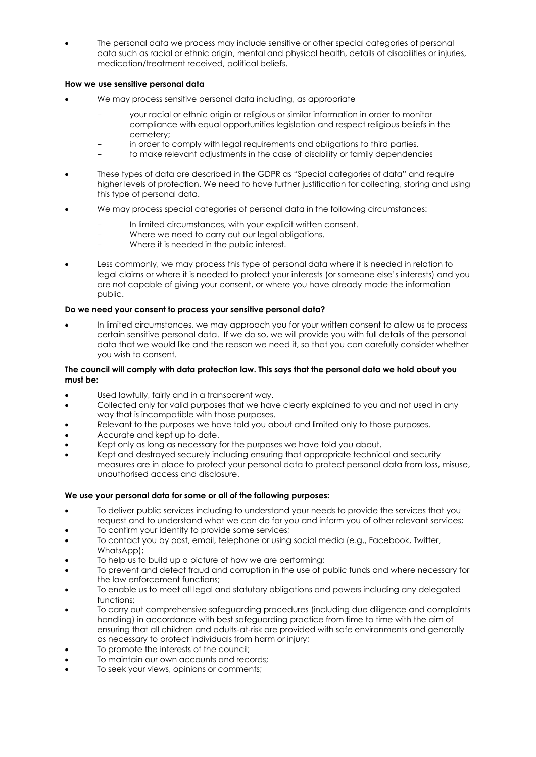• The personal data we process may include sensitive or other special categories of personal data such as racial or ethnic origin, mental and physical health, details of disabilities or injuries, medication/treatment received, political beliefs.

# **How we use sensitive personal data**

- We may process sensitive personal data including, as appropriate
	- your racial or ethnic origin or religious or similar information in order to monitor compliance with equal opportunities legislation and respect religious beliefs in the cemetery;
	- in order to comply with legal requirements and obligations to third parties.
	- to make relevant adjustments in the case of disability or family dependencies
- These types of data are described in the GDPR as "Special categories of data" and require higher levels of protection. We need to have further justification for collecting, storing and using this type of personal data.
- We may process special categories of personal data in the following circumstances:
	- In limited circumstances, with your explicit written consent.
	- Where we need to carry out our legal obligations.
	- Where it is needed in the public interest.
- Less commonly, we may process this type of personal data where it is needed in relation to legal claims or where it is needed to protect your interests (or someone else's interests) and you are not capable of giving your consent, or where you have already made the information public.

# **Do we need your consent to process your sensitive personal data?**

• In limited circumstances, we may approach you for your written consent to allow us to process certain sensitive personal data. If we do so, we will provide you with full details of the personal data that we would like and the reason we need it, so that you can carefully consider whether you wish to consent.

## **The council will comply with data protection law. This says that the personal data we hold about you must be:**

- Used lawfully, fairly and in a transparent way.
- Collected only for valid purposes that we have clearly explained to you and not used in any way that is incompatible with those purposes.
- Relevant to the purposes we have told you about and limited only to those purposes.
- Accurate and kept up to date.
- Kept only as long as necessary for the purposes we have told you about.
- Kept and destroyed securely including ensuring that appropriate technical and security measures are in place to protect your personal data to protect personal data from loss, misuse, unauthorised access and disclosure.

## **We use your personal data for some or all of the following purposes:**

- To deliver public services including to understand your needs to provide the services that you request and to understand what we can do for you and inform you of other relevant services;
- To confirm your identity to provide some services;
- To contact you by post, email, telephone or using social media (e.g., Facebook, Twitter, WhatsApp);
- To help us to build up a picture of how we are performing:
- To prevent and detect fraud and corruption in the use of public funds and where necessary for the law enforcement functions;
- To enable us to meet all legal and statutory obligations and powers including any delegated functions;
- To carry out comprehensive safeguarding procedures (including due diligence and complaints handling) in accordance with best safeguarding practice from time to time with the aim of ensuring that all children and adults-at-risk are provided with safe environments and generally as necessary to protect individuals from harm or injury;
- To promote the interests of the council:
- To maintain our own accounts and records;
- To seek your views, opinions or comments;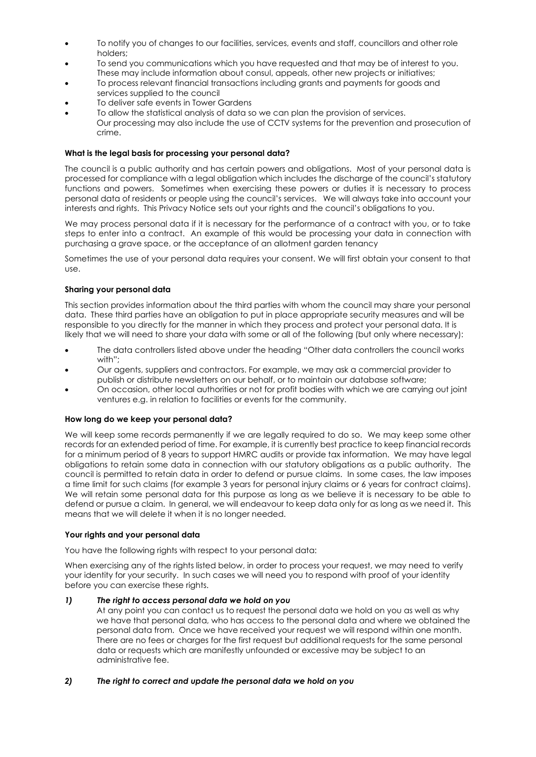- To notify you of changes to our facilities, services, events and staff, councillors and other role holders;
- To send you communications which you have requested and that may be of interest to you. These may include information about consul, appeals, other new projects or initiatives;
- To process relevant financial transactions including grants and payments for goods and services supplied to the council
- To deliver safe events in Tower Gardens
- To allow the statistical analysis of data so we can plan the provision of services. Our processing may also include the use of CCTV systems for the prevention and prosecution of crime.

## **What is the legal basis for processing your personal data?**

The council is a public authority and has certain powers and obligations. Most of your personal data is processed for compliance with a legal obligation which includes the discharge of the council's statutory functions and powers. Sometimes when exercising these powers or duties it is necessary to process personal data of residents or people using the council's services. We will always take into account your interests and rights. This Privacy Notice sets out your rights and the council's obligations to you.

We may process personal data if it is necessary for the performance of a contract with you, or to take steps to enter into a contract. An example of this would be processing your data in connection with purchasing a grave space, or the acceptance of an allotment garden tenancy

Sometimes the use of your personal data requires your consent. We will first obtain your consent to that use.

# **Sharing your personal data**

This section provides information about the third parties with whom the council may share your personal data. These third parties have an obligation to put in place appropriate security measures and will be responsible to you directly for the manner in which they process and protect your personal data. It is likely that we will need to share your data with some or all of the following (but only where necessary):

- The data controllers listed above under the heading "Other data controllers the council works with";
- Our agents, suppliers and contractors. For example, we may ask a commercial provider to publish or distribute newsletters on our behalf, or to maintain our database software;
- On occasion, other local authorities or not for profit bodies with which we are carrying out joint ventures e.g. in relation to facilities or events for the community.

## **How long do we keep your personal data?**

We will keep some records permanently if we are legally required to do so. We may keep some other records for an extended period of time. For example, it is currently best practice to keep financial records for a minimum period of 8 years to support HMRC audits or provide tax information. We may have legal obligations to retain some data in connection with our statutory obligations as a public authority. The council is permitted to retain data in order to defend or pursue claims. In some cases, the law imposes a time limit for such claims (for example 3 years for personal injury claims or 6 years for contract claims). We will retain some personal data for this purpose as long as we believe it is necessary to be able to defend or pursue a claim. In general, we will endeavour to keep data only for as long as we need it. This means that we will delete it when it is no longer needed.

## **Your rights and your personal data**

You have the following rights with respect to your personal data:

When exercising any of the rights listed below, in order to process your request, we may need to verify your identity for your security. In such cases we will need you to respond with proof of your identity before you can exercise these rights.

## *1) The right to access personal data we hold on you*

At any point you can contact us to request the personal data we hold on you as well as why we have that personal data, who has access to the personal data and where we obtained the personal data from. Once we have received your request we will respond within one month. There are no fees or charges for the first request but additional requests for the same personal data or requests which are manifestly unfounded or excessive may be subject to an administrative fee.

# *2) The right to correct and update the personal data we hold on you*